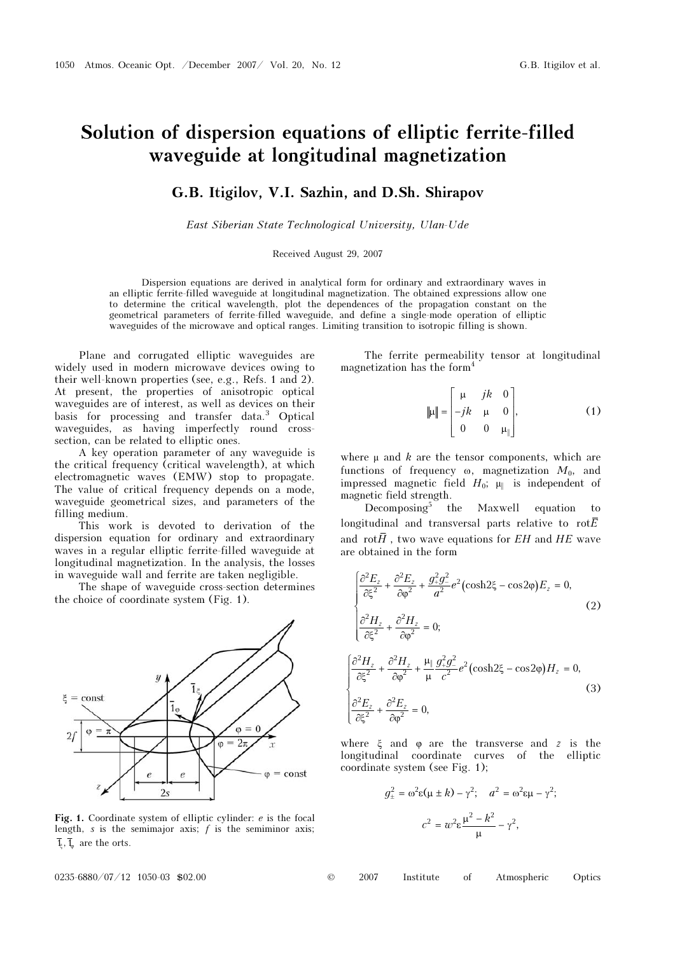## Solution of dispersion equations of elliptic ferrite-filled waveguide at longitudinal magnetization

## G.B. Itigilov, V.I. Sazhin, and D.Sh. Shirapov

East Siberian State Technological University, Ulan-Ude

## Received August 29, 2007

Dispersion equations are derived in analytical form for ordinary and extraordinary waves in an elliptic ferrite-filled waveguide at longitudinal magnetization. The obtained expressions allow one to determine the critical wavelength, plot the dependences of the propagation constant on the geometrical parameters of ferrite-filled waveguide, and define a single-mode operation of elliptic waveguides of the microwave and optical ranges. Limiting transition to isotropic filling is shown.

Plane and corrugated elliptic waveguides are widely used in modern microwave devices owing to their well-known properties (see, e.g., Refs. 1 and 2). At present, the properties of anisotropic optical waveguides are of interest, as well as devices on their basis for processing and transfer data.<sup>3</sup> Optical waveguides, as having imperfectly round crosssection, can be related to elliptic ones.

A key operation parameter of any waveguide is the critical frequency (critical wavelength), at which electromagnetic waves (EMW) stop to propagate. The value of critical frequency depends on a mode, waveguide geometrical sizes, and parameters of the filling medium.

This work is devoted to derivation of the dispersion equation for ordinary and extraordinary waves in a regular elliptic ferrite-filled waveguide at longitudinal magnetization. In the analysis, the losses in waveguide wall and ferrite are taken negligible.

The shape of waveguide cross-section determines the choice of coordinate system (Fig. 1).



Fig. 1. Coordinate system of elliptic cylinder: <sup>e</sup> is the focal length, s is the semimajor axis;  $f$  is the semiminor axis;  $\overline{1}_{\overline{k}}$ ,  $\overline{1}_{\overline{n}}$  are the orts.

0  $0,$ jk jk  $\begin{vmatrix} \mu & jk & 0 \\ ... & ... & \end{vmatrix}$  $\|\mu\| = \begin{bmatrix} -jk & \mu & 0 \\ 0 & 0 & \mu_{\parallel} \end{bmatrix}$ (1)

||

The ferrite permeability tensor at longitudinal

magnetization has the form<sup>4</sup>

where  $\mu$  and  $k$  are the tensor components, which are functions of frequency  $\omega$ , magnetization  $M_0$ , and impressed magnetic field  $H_0$ ;  $\mu$  is independent of magnetic field strength.

0 0

Decomposing<sup>5</sup> the Maxwell equation to longitudinal and transversal parts relative to rot $\overline{E}$ and rot $\overline{H}$ , two wave equations for  $EH$  and  $HE$  wave are obtained in the form

$$
\begin{cases}\n\frac{\partial^2 E_z}{\partial \xi^2} + \frac{\partial^2 E_z}{\partial \varphi^2} + \frac{g_+^2 g_-^2}{a^2} e^2 (\cosh 2\xi - \cos 2\varphi) E_z = 0, \\
\frac{\partial^2 H_z}{\partial \xi^2} + \frac{\partial^2 H_z}{\partial \varphi^2} = 0; \\
\frac{\partial^2 H_z}{\partial \xi^2} + \frac{\partial^2 H_z}{\partial \varphi^2} + \frac{\mu_{\parallel} g_+^2 g_-^2}{\mu} e^2 (\cosh 2\xi - \cos 2\varphi) H_z = 0, \\
\frac{\partial^2 E_z}{\partial \xi^2} + \frac{\partial^2 E_z}{\partial \varphi^2} = 0,\n\end{cases}
$$
\n(3)

where  $\xi$  and  $\varphi$  are the transverse and z is the longitudinal coordinate curves of the elliptic coordinate system (see Fig. 1);

$$
g_{\pm}^2 = \omega^2 \varepsilon (\mu \pm k) - \gamma^2; \quad a^2 = \omega^2 \varepsilon \mu - \gamma^2;
$$

$$
c^2 = \omega^2 \varepsilon \frac{\mu^2 - k^2}{\mu} - \gamma^2,
$$

0235-6880/07/12 1050-03 \$02.00 © 2007 Institute of Atmospheric Optics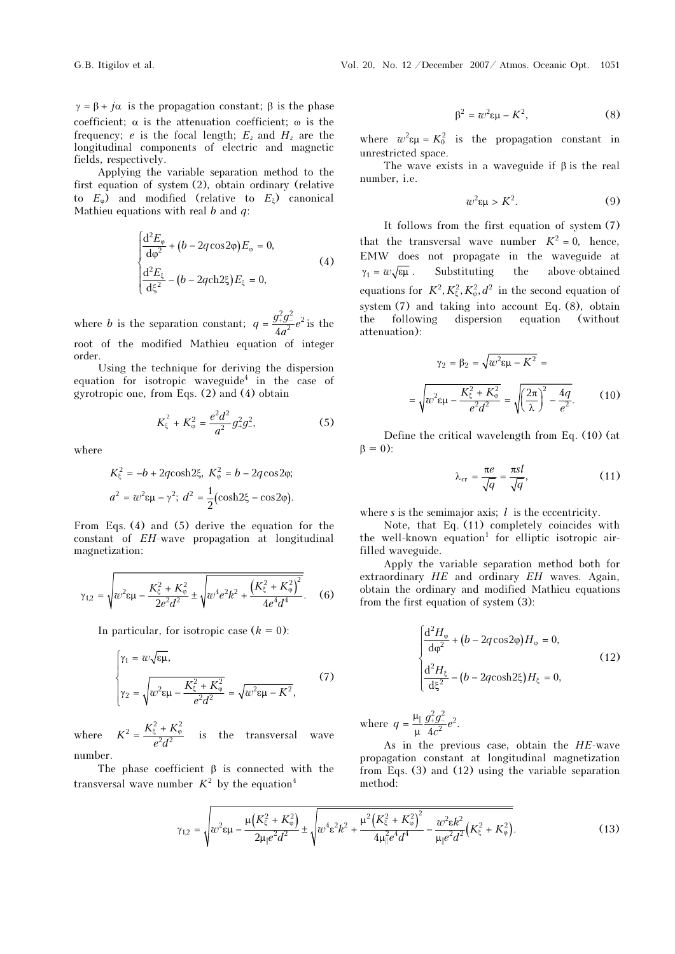$\gamma = \beta + j\alpha$  is the propagation constant;  $\beta$  is the phase coefficient;  $\alpha$  is the attenuation coefficient;  $\omega$  is the frequency; e is the focal length;  $E_z$  and  $H_z$  are the longitudinal components of electric and magnetic fields, respectively.

Applying the variable separation method to the first equation of system (2), obtain ordinary (relative to  $E_{\varphi}$ ) and modified (relative to  $E_{\xi}$ ) canonical Mathieu equations with real  $b$  and  $q$ :

$$
\begin{cases}\n\frac{d^2 E_{\varphi}}{d\varphi^2} + (b - 2q \cos 2\varphi) E_{\varphi} = 0, \\
\frac{d^2 E_{\xi}}{d\xi^2} - (b - 2q \cosh 2\xi) E_{\xi} = 0,\n\end{cases}
$$
\n(4)

where *b* is the separation constant;  $q = \frac{g_+^2 g_-^2}{l_2^2} e^2$  $q = \frac{3+3}{4a^2}e$ root of the modified Mathieu equation of integer  $=\frac{g_+^2 g_-^2}{g_-^2}e^2$  is the order.

Using the technique for deriving the dispersion equation for isotropic waveguide<sup>4</sup> in the case of gyrotropic one, from Eqs. (2) and (4) obtain

$$
K_{\xi}^{2} + K_{\varphi}^{2} = \frac{e^{2}d^{2}}{a^{2}}g_{+}^{2}g_{-}^{2},
$$
 (5)

where

$$
K_{\xi}^{2} = -b + 2q \cosh 2\xi, \ K_{\varphi}^{2} = b - 2q \cos 2\varphi;
$$
  

$$
a^{2} = w^{2} \epsilon \mu - \gamma^{2}; \ d^{2} = \frac{1}{2} (\cosh 2\xi - \cos 2\varphi).
$$

From Eqs. (4) and (5) derive the equation for the constant of EH-wave propagation at longitudinal magnetization:

$$
\gamma_{1,2} = \sqrt{w^2 \epsilon \mu - \frac{K_{\xi}^2 + K_{\varphi}^2}{2e^2 d^2} \pm \sqrt{w^4 e^2 k^2 + \frac{\left(K_{\xi}^2 + K_{\varphi}^2\right)^2}{4e^4 d^4}}}. \quad (6)
$$

In particular, for isotropic case  $(k = 0)$ :

$$
\begin{cases}\n\gamma_1 = w \sqrt{\epsilon \mu}, \\
\gamma_2 = \sqrt{w^2 \epsilon \mu - \frac{K_{\xi}^2 + K_{\varphi}^2}{e^2 d^2}} = \sqrt{w^2 \epsilon \mu - K^2},\n\end{cases} (7)
$$

where  $K^2 = \frac{K_{\xi}^2 + K_{\varphi}^2}{e^2 d^2}$  is the transversal wave number.

The phase coefficient  $\beta$  is connected with the transversal wave number  $K^2$  by the equation<sup>4</sup>

$$
\beta^2 = w^2 \varepsilon \mu - K^2,\tag{8}
$$

where  $w^2 \epsilon \mu = K_0^2$  is the propagation constant in unrestricted space.

The wave exists in a waveguide if β is the real number, i.e.

$$
w^2 \varepsilon \mu > K^2. \tag{9}
$$

It follows from the first equation of system (7) that the transversal wave number  $K^2 = 0$ , hence, EMW does not propagate in the waveguide at  $\gamma_1 = w \sqrt{\epsilon \mu}$ . Substituting the above-obtained equations for  $K^2, K_{\xi}^2, K_{\omega}^2, d^2$  in the second equation of system (7) and taking into account Eq. (8), obtain the following dispersion equation (without attenuation):

$$
\gamma_2 = \beta_2 = \sqrt{w^2 \epsilon \mu - K^2} =
$$

$$
= \sqrt{w^2 \epsilon \mu - \frac{K_{\xi}^2 + K_{\varphi}^2}{e^2 d^2}} = \sqrt{\left(\frac{2\pi}{\lambda}\right)^2 - \frac{4q}{e^2}}.
$$
(10)

Define the critical wavelength from Eq. (10) (at  $\beta = 0$ :

$$
\lambda_{\rm cr} = \frac{\pi e}{\sqrt{q}} = \frac{\pi s l}{\sqrt{q}},\tag{11}
$$

where s is the semimajor axis;  $l$  is the eccentricity.

Note, that Eq. (11) completely coincides with the well-known equation<sup>1</sup> for elliptic isotropic airfilled waveguide.

Apply the variable separation method both for extraordinary  $HE$  and ordinary  $EH$  waves. Again, obtain the ordinary and modified Mathieu equations from the first equation of system (3):

$$
\begin{cases}\n\frac{\mathrm{d}^2 H_{\varphi}}{\mathrm{d}\varphi^2} + (b - 2q\cos 2\varphi)H_{\varphi} = 0, \\
\frac{\mathrm{d}^2 H_{\xi}}{\mathrm{d}\xi^2} - (b - 2q\cosh 2\xi)H_{\xi} = 0,\n\end{cases}
$$
\n(12)

where  $q = \frac{\mu_{\parallel} g_{+}^2 g_{-}^2}{\mu_{\parallel}^2 4c^2} e^2$ .

As in the previous case, obtain the  $HE$ -wave propagation constant at longitudinal magnetization from Eqs. (3) and (12) using the variable separation method:

$$
\gamma_{1,2} = \sqrt{w^2 \epsilon \mu - \frac{\mu \left( K_{\xi}^2 + K_{\varphi}^2 \right)}{2 \mu_{\parallel} e^2 d^2} \pm \sqrt{w^4 \epsilon^2 k^2 + \frac{\mu^2 \left( K_{\xi}^2 + K_{\varphi}^2 \right)^2}{4 \mu_{\parallel}^2 e^4 d^4} - \frac{w^2 \epsilon k^2}{\mu_{\parallel} e^2 d^2} \left( K_{\xi}^2 + K_{\varphi}^2 \right)}.
$$
(13)